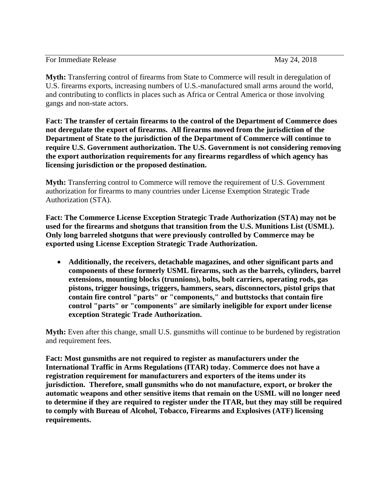For Immediate Release May 24, 2018

**Myth:** Transferring control of firearms from State to Commerce will result in deregulation of U.S. firearms exports, increasing numbers of U.S.-manufactured small arms around the world, and contributing to conflicts in places such as Africa or Central America or those involving gangs and non-state actors.

**Fact: The transfer of certain firearms to the control of the Department of Commerce does not deregulate the export of firearms. All firearms moved from the jurisdiction of the Department of State to the jurisdiction of the Department of Commerce will continue to require U.S. Government authorization. The U.S. Government is not considering removing the export authorization requirements for any firearms regardless of which agency has licensing jurisdiction or the proposed destination.**

**Myth:** Transferring control to Commerce will remove the requirement of U.S. Government authorization for firearms to many countries under License Exemption Strategic Trade Authorization (STA).

**Fact: The Commerce License Exception Strategic Trade Authorization (STA) may not be used for the firearms and shotguns that transition from the U.S. Munitions List (USML). Only long barreled shotguns that were previously controlled by Commerce may be exported using License Exception Strategic Trade Authorization.**

 **Additionally, the receivers, detachable magazines, and other significant parts and components of these formerly USML firearms, such as the barrels, cylinders, barrel extensions, mounting blocks (trunnions), bolts, bolt carriers, operating rods, gas pistons, trigger housings, triggers, hammers, sears, disconnectors, pistol grips that contain fire control "parts" or "components," and buttstocks that contain fire control "parts" or "components" are similarly ineligible for export under license exception Strategic Trade Authorization.**

**Myth:** Even after this change, small U.S. gunsmiths will continue to be burdened by registration and requirement fees.

**Fact: Most gunsmiths are not required to register as manufacturers under the International Traffic in Arms Regulations (ITAR) today. Commerce does not have a registration requirement for manufacturers and exporters of the items under its jurisdiction. Therefore, small gunsmiths who do not manufacture, export, or broker the automatic weapons and other sensitive items that remain on the USML will no longer need to determine if they are required to register under the ITAR, but they may still be required to comply with Bureau of Alcohol, Tobacco, Firearms and Explosives (ATF) licensing requirements.**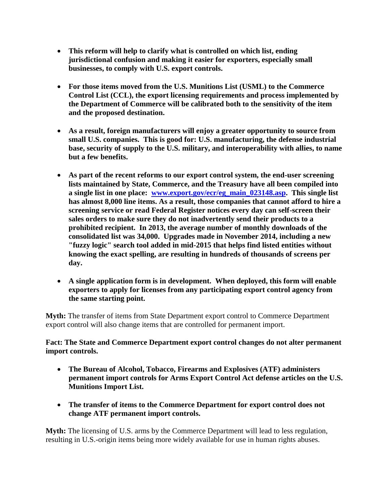- **This reform will help to clarify what is controlled on which list, ending jurisdictional confusion and making it easier for exporters, especially small businesses, to comply with U.S. export controls.**
- **For those items moved from the U.S. Munitions List (USML) to the Commerce Control List (CCL), the export licensing requirements and process implemented by the Department of Commerce will be calibrated both to the sensitivity of the item and the proposed destination.**
- **As a result, foreign manufacturers will enjoy a greater opportunity to source from small U.S. companies. This is good for: U.S. manufacturing, the defense industrial base, security of supply to the U.S. military, and interoperability with allies, to name but a few benefits.**
- **As part of the recent reforms to our export control system, the end-user screening lists maintained by State, Commerce, and the Treasury have all been compiled into a single list in one place: [www.export.gov/ecr/eg\\_main\\_023148.asp.](http://www.export.gov/ecr/eg_main_023148.asp) This single list has almost 8,000 line items. As a result, those companies that cannot afford to hire a screening service or read Federal Register notices every day can self-screen their sales orders to make sure they do not inadvertently send their products to a prohibited recipient. In 2013, the average number of monthly downloads of the consolidated list was 34,000. Upgrades made in November 2014, including a new "fuzzy logic" search tool added in mid-2015 that helps find listed entities without knowing the exact spelling, are resulting in hundreds of thousands of screens per day.**
- **A single application form is in development. When deployed, this form will enable exporters to apply for licenses from any participating export control agency from the same starting point.**

**Myth:** The transfer of items from State Department export control to Commerce Department export control will also change items that are controlled for permanent import.

## **Fact: The State and Commerce Department export control changes do not alter permanent import controls.**

- **The Bureau of Alcohol, Tobacco, Firearms and Explosives (ATF) administers permanent import controls for Arms Export Control Act defense articles on the U.S. Munitions Import List.**
- **The transfer of items to the Commerce Department for export control does not change ATF permanent import controls.**

**Myth:** The licensing of U.S. arms by the Commerce Department will lead to less regulation, resulting in U.S.-origin items being more widely available for use in human rights abuses.